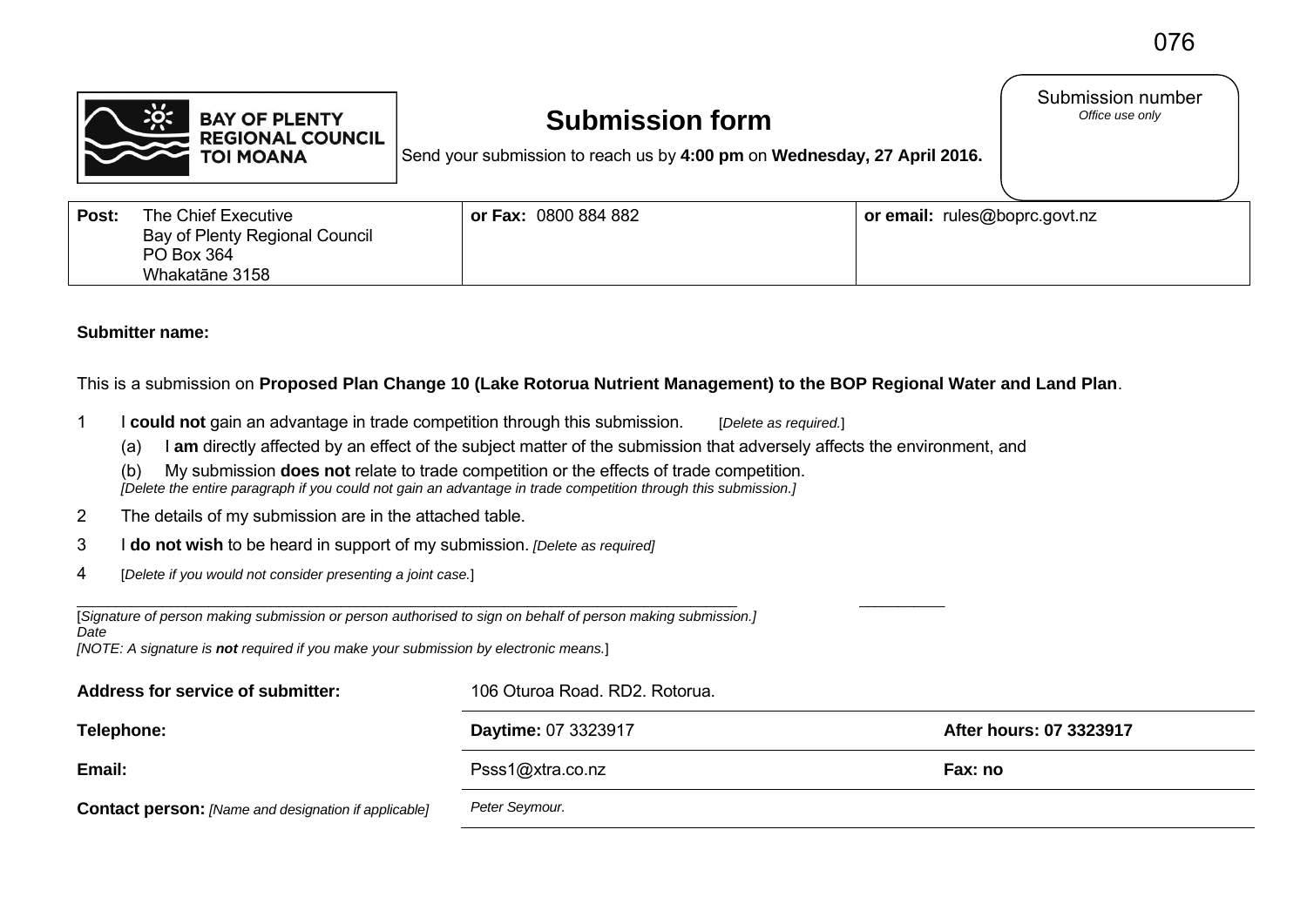Submission number<br>Office use only



## **Submission form**

Send your submission to reach us by **4:00 pm** on **Wednesday, 27 April 2016.**

| Post: | The Chief Executive            | or Fax: 0800 884 882 | or email: rules@boprc.govt.nz |
|-------|--------------------------------|----------------------|-------------------------------|
|       | Bay of Plenty Regional Council |                      |                               |
|       | PO Box 364                     |                      |                               |
|       | Whakatāne 3158                 |                      |                               |

## **Submitter name:**

This is a submission on **Proposed Plan Change 10 (Lake Rotorua Nutrient Management) to the BOP Regional Water and Land Plan**.

- 1 I **could not** gain an advantage in trade competition through this submission. [*Delete as required.*]
	- (a) I **am** directly affected by an effect of the subject matter of the submission that adversely affects the environment, and
	- (b) My submission **does not** relate to trade competition or the effects of trade competition.  *[Delete the entire paragraph if you could not gain an advantage in trade competition through this submission.]*
- 2 The details of my submission are in the attached table.
- 3 I **do not wish** to be heard in support of my submission. *[Delete as required]*
- 4 [*Delete if you would not consider presenting a joint case.*]

| [Signature of person making submission or person authorised to sign on behalf of person making submission.] |  |
|-------------------------------------------------------------------------------------------------------------|--|
| Date                                                                                                        |  |
| <b>INOTE:</b> A signature is <b>not</b> required if you make your submission by electronic means.           |  |

| Address for service of submitter:                           | 106 Oturoa Road. RD2. Rotorua. |                         |  |
|-------------------------------------------------------------|--------------------------------|-------------------------|--|
| Telephone:                                                  | <b>Daytime: 07 3323917</b>     | After hours: 07 3323917 |  |
| Email:                                                      | Psss1@xtra.co.nz               | Fax: no                 |  |
| <b>Contact person:</b> [Name and designation if applicable] | Peter Seymour.                 |                         |  |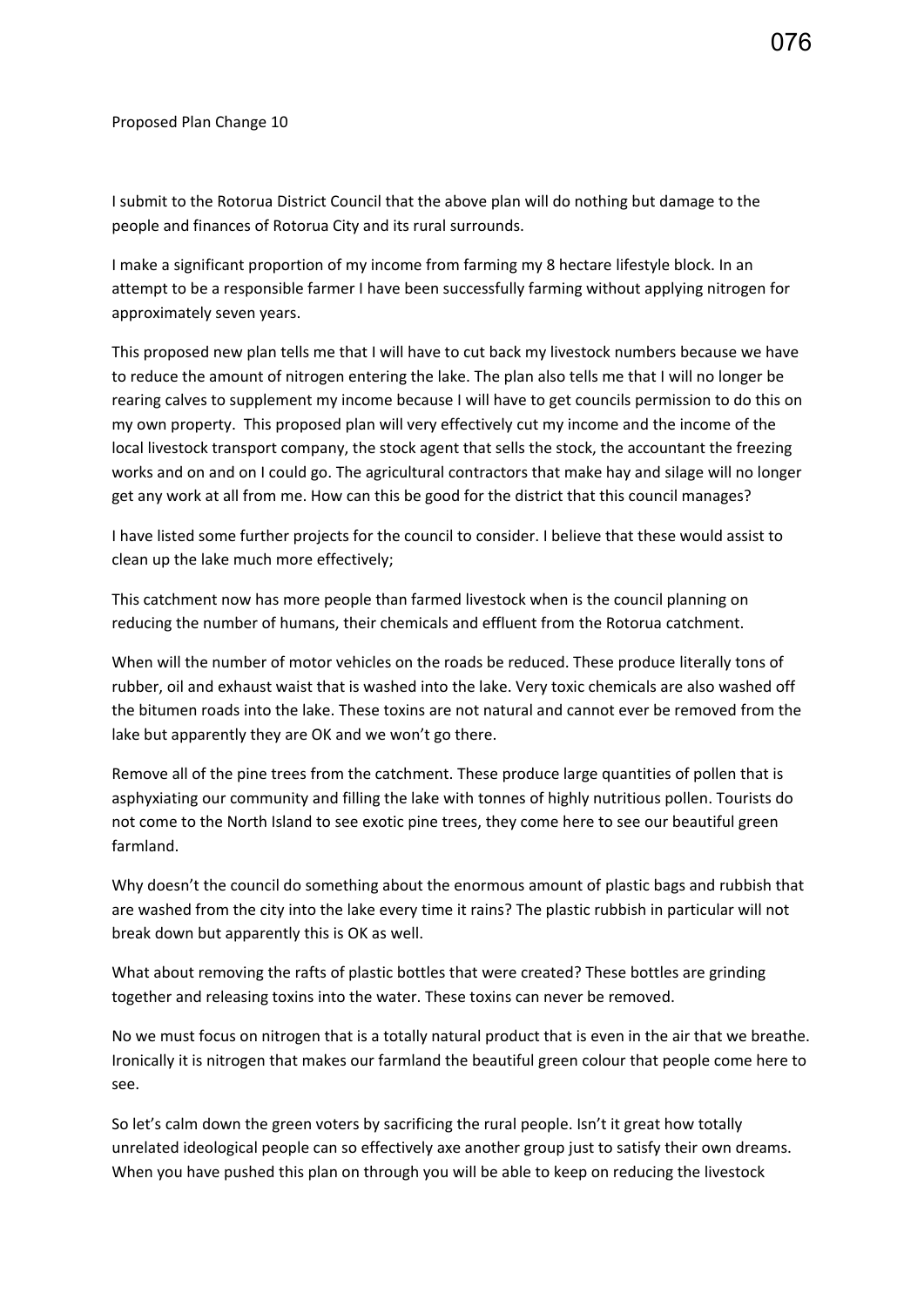Proposed Plan Change 10

I submit to the Rotorua District Council that the above plan will do nothing but damage to the people and finances of Rotorua City and its rural surrounds.

I make a significant proportion of my income from farming my 8 hectare lifestyle block. In an attempt to be a responsible farmer I have been successfully farming without applying nitrogen for approximately seven years.

This proposed new plan tells me that I will have to cut back my livestock numbers because we have to reduce the amount of nitrogen entering the lake. The plan also tells me that I will no longer be rearing calves to supplement my income because I will have to get councils permission to do this on my own property. This proposed plan will very effectively cut my income and the income of the local livestock transport company, the stock agent that sells the stock, the accountant the freezing works and on and on I could go. The agricultural contractors that make hay and silage will no longer get any work at all from me. How can this be good for the district that this council manages?

I have listed some further projects for the council to consider. I believe that these would assist to clean up the lake much more effectively;

This catchment now has more people than farmed livestock when is the council planning on reducing the number of humans, their chemicals and effluent from the Rotorua catchment.

When will the number of motor vehicles on the roads be reduced. These produce literally tons of rubber, oil and exhaust waist that is washed into the lake. Very toxic chemicals are also washed off the bitumen roads into the lake. These toxins are not natural and cannot ever be removed from the lake but apparently they are OK and we won't go there.

Remove all of the pine trees from the catchment. These produce large quantities of pollen that is asphyxiating our community and filling the lake with tonnes of highly nutritious pollen. Tourists do not come to the North Island to see exotic pine trees, they come here to see our beautiful green farmland.

Why doesn't the council do something about the enormous amount of plastic bags and rubbish that are washed from the city into the lake every time it rains? The plastic rubbish in particular will not break down but apparently this is OK as well.

What about removing the rafts of plastic bottles that were created? These bottles are grinding together and releasing toxins into the water. These toxins can never be removed.

No we must focus on nitrogen that is a totally natural product that is even in the air that we breathe. Ironically it is nitrogen that makes our farmland the beautiful green colour that people come here to see.

So let's calm down the green voters by sacrificing the rural people. Isn't it great how totally unrelated ideological people can so effectively axe another group just to satisfy their own dreams. When you have pushed this plan on through you will be able to keep on reducing the livestock